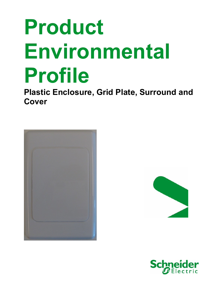# Product Environmental Profile

Plastic Enclosure, Grid Plate, Surround and Cover





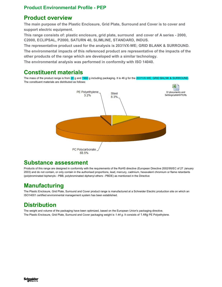#### Product Environmental Profile - PEP

#### Product overview

The main purpose of the Plastic Enclosure, Grid Plate, Surround and Cover is to cover and support electric equipment.

This range consists of: plastic enclosure, grid plate, surround and cover of A series - 2000, C2000, ECLIPSAL, P2000, SATURN 40, SLIMLINE, STANDARD, INDUS.

The representative product used for the analysis is 2031VX-WE; GRID BLANK & SURROUND. The environmental impacts of this referenced product are representative of the impacts of the other products of the range which are developed with a similar technology.

The environmental analysis was performed in conformity with ISO 14040.

### Constituent materials

The mass of the product range is from 20 g and 7460 g including packaging. It is 46 g for the 2031VX-WE; GRID BALNK & SURROUND. The constituent materials are distributed as follows:



#### Substance assessment

Products of this range are designed in conformity with the requirements of the RoHS directive (European Directive 2002/95/EC of 27 January 2003) and do not contain, or only contain in the authorised proportions, lead, mercury, cadmium, hexavalent chromium or flame retardants (polybrominated biphenyls - PBB, polybrominated diphenyl ethers - PBDE) as mentioned in the Directive

# Manufacturing

The Plastic Enclosure, Grid Plate, Surround and Cover product range is manufactured at a Schneider Electric production site on which an ISO14001 certified environmental management system has been established.

# **Distribution**

The weight and volume of the packaging have been optimized, based on the European Union's packaging directive. The Plastic Enclosure, Grid Plate, Surround and Cover packaging weight is 1.44 g. It consists of 1.44g PE Polyethylene.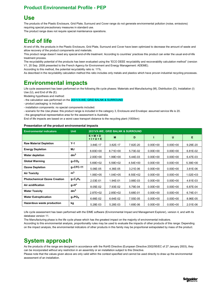#### Product Environmental Profile - PEP

#### Use

The products of the Plastic Enclosure, Grid Plate, Surround and Cover range do not generate environmental pollution (noise, emissions) requiring special precautionary measures in standard use.

The product range does not require special maintenance operations.

# End of life

At end of life, the products in the Plastic Enclosure, Grid Plate, Surround and Cover have been optimized to decrease the amount of waste and allow recovery of the product components and materials.

This product range doesn't need any special end-of-life treatment. According to countries' practices this product can enter the usual end-of-life treatment process.

The recyclability potential of the products has been evaluated using the "ECO DEEE recyclability and recoverability calculation method" (version V1, 20 Sep. 2008 presented to the French Agency for Environment and Energy Management: ADEME).

According to this method, the potential recyclability ratio is: 11%.

As described in the recyclability calculation method this ratio includes only metals and plastics which have proven industrial recycling processes.

# Environmental impacts

Life cycle assessment has been performed on the following life cycle phases: Materials and Manufacturing (M), Distribution (D), Installation (I) Use (U), and End of life (E).

Modeling hypothesis and method:

- the calculation was performed on the 2031VX-WE; GRID BALNK & SURROUND

- product packaging: is included
- installation components: no special components included.
- scenario for the Use phase: this product range is included in the category 3, Enclosure and Envelope: assumed service life is 20.
- the geographical representative area for the assessment is Australia.
- End of life impacts are based on a worst case transport distance to the recycling plant (1000km)

#### Presentation of the product environmental impacts

| <b>Environmental indicators</b>     | <b>Unit</b>          | 2031VX-WE; GRID BALNK & SURROUND |              |              |              |              |              |
|-------------------------------------|----------------------|----------------------------------|--------------|--------------|--------------|--------------|--------------|
|                                     |                      | $S = M + D$<br>$+1+U+E$          | M            | D            |              | U            | E            |
| <b>Raw Material Depletion</b>       | $Y-1$                | 3.84E-17                         | 3.82E-17     | 7.82E-20     | $0.00E + 00$ | $0.00E + 00$ | 9.29E-20     |
| <b>Energy Depletion</b>             | MJ                   | 8.83E+00                         | $8.71E + 00$ | 5.73E-02     | $0.00E + 00$ | $0.00E + 00$ | 6.81E-02     |
| <b>Water depletion</b>              | dm <sup>3</sup>      | $2.00E + 00$                     | $1.99E + 00$ | 5.44E-03     | $0.00E + 00$ | $0.00E + 00$ | 6.47E-03     |
| <b>Global Warming</b>               | $g_{\approx}CO_2$    | 5.69E+02                         | $5.59E + 02$ | 4.54E+00     | $0.00E + 00$ | $0.00E + 00$ | $5.39E + 00$ |
| <b>Ozone Depletion</b>              | $g_{\approx}$ CFC-11 | 5.06E-05                         | 4.36E-05     | $3.21E-06$   | $0.00E + 00$ | $0.00E + 00$ | 3.81E-06     |
| <b>Air Toxicity</b>                 | m <sup>3</sup>       | 1.06E+05                         | $1.04E + 05$ | $8.55E + 02$ | $0.00E + 00$ | $0.00E + 00$ | $1.02E + 03$ |
| <b>Photochemical Ozone Creation</b> | $g_{\approx}C_2H_4$  | 2.03E-01                         | 1.94E-01     | 3.88E-03     | $0.00E + 00$ | $0.00E + 00$ | 4.61E-03     |
| Air acidification                   | g≈H <sup>+</sup>     | 8.05E-02                         | 7.93E-02     | 5.79E-04     | $0.00E + 00$ | $0.00E + 00$ | 6.87E-04     |
| <b>Water Toxicity</b>               | dm <sup>3</sup>      | 2.87E+02                         | $2.85E + 02$ | 5.68E-01     | $0.00E + 00$ | $0.00E + 00$ | 6.74E-01     |
| <b>Water Eutrophication</b>         | $g \approx PO_4$     | 6.66E-02                         | 6.64E-02     | 7.55E-05     | $0.00E + 00$ | $0.00E + 00$ | 8.96E-05     |
| Hazardous waste production          | kg                   | 5.28E-03                         | 5.28E-03     | 1.69E-06     | $0.00E + 00$ | $0.00E + 00$ | 2.01E-06     |

Life cycle assessment has been performed with the EIME software (Environmental Impact and Management Explorer), version 4, and with its database version 11.

The Manufacturing phase is the life cycle phase which has the greatest impact on the majority of environmental indicators.

According to this environmental analysis, proportionality rules may be used to evaluate the impacts of other products of this range: Depending on the impact analysis, the environmental indicators of other products in this family may be proportional extrapolated by mass of the product.

## System approach

As the products of the range are designed in accordance with the RoHS Directive (European Directive 2002/95/EC of 27 January 2003), they can be incorporated without any restriction in an assembly or an installation subject to this Directive.

Please note that the values given above are only valid within the context specified and cannot be used directly to draw up the environmental assessment of an installation.